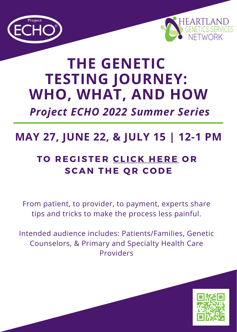



# **THE GENETIC TESTING JOURNEY: WHO, WHAT, AND HOW**

*Project ECHO 2022 Summer Series*

## **MAY 27, JUNE 22, & JULY 15 | 12-1 PM**

### **T O R E G ISTE R [CL](https://www.heartlandcollaborative.org/heartland-summer-echo-series-2022/) IC K H E R E O R SC A N T H E Q R C O D E**

From patient, to provider, to payment, experts share tips and tricks to make the process less painful.

Intended audience includes: Patients/Families, Genetic Counselors, & Primary and Specialty Health Care Providers